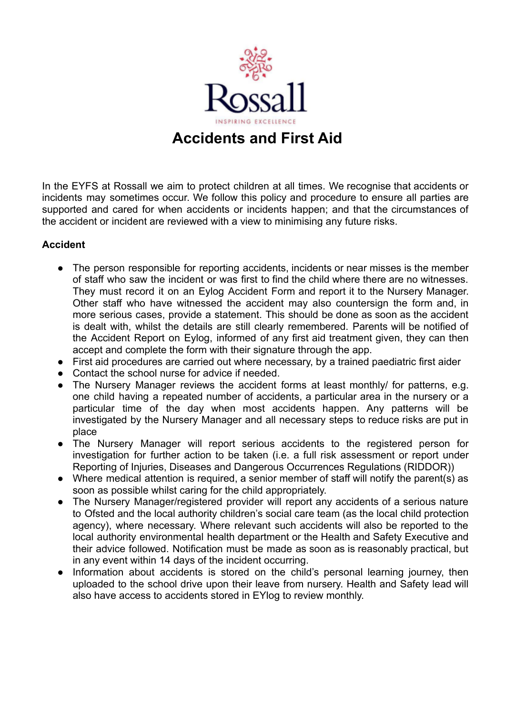

In the EYFS at Rossall we aim to protect children at all times. We recognise that accidents or incidents may sometimes occur. We follow this policy and procedure to ensure all parties are supported and cared for when accidents or incidents happen; and that the circumstances of the accident or incident are reviewed with a view to minimising any future risks.

# **Accident**

- The person responsible for reporting accidents, incidents or near misses is the member of staff who saw the incident or was first to find the child where there are no witnesses. They must record it on an Eylog Accident Form and report it to the Nursery Manager. Other staff who have witnessed the accident may also countersign the form and, in more serious cases, provide a statement. This should be done as soon as the accident is dealt with, whilst the details are still clearly remembered. Parents will be notified of the Accident Report on Eylog, informed of any first aid treatment given, they can then accept and complete the form with their signature through the app.
- First aid procedures are carried out where necessary, by a trained paediatric first aider
- Contact the school nurse for advice if needed.
- The Nursery Manager reviews the accident forms at least monthly/ for patterns, e.g. one child having a repeated number of accidents, a particular area in the nursery or a particular time of the day when most accidents happen. Any patterns will be investigated by the Nursery Manager and all necessary steps to reduce risks are put in place
- The Nursery Manager will report serious accidents to the registered person for investigation for further action to be taken (i.e. a full risk assessment or report under Reporting of Injuries, Diseases and Dangerous Occurrences Regulations (RIDDOR))
- Where medical attention is required, a senior member of staff will notify the parent(s) as soon as possible whilst caring for the child appropriately.
- The Nursery Manager/registered provider will report any accidents of a serious nature to Ofsted and the local authority children's social care team (as the local child protection agency), where necessary. Where relevant such accidents will also be reported to the local authority environmental health department or the Health and Safety Executive and their advice followed. Notification must be made as soon as is reasonably practical, but in any event within 14 days of the incident occurring.
- Information about accidents is stored on the child's personal learning journey, then uploaded to the school drive upon their leave from nursery. Health and Safety lead will also have access to accidents stored in EYlog to review monthly.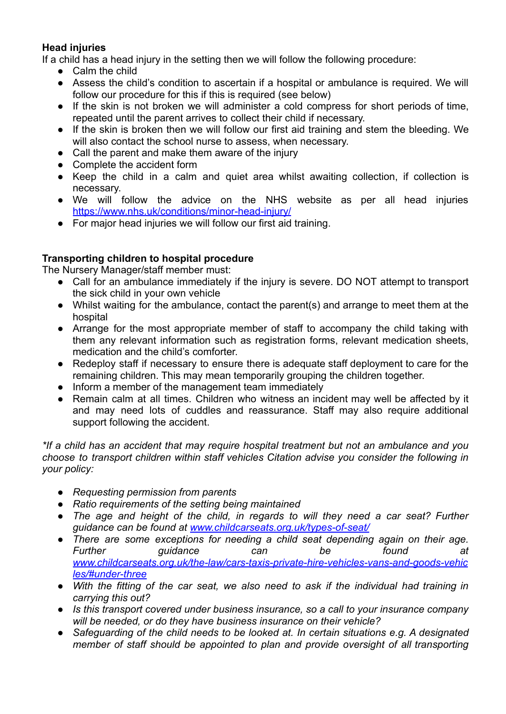# **Head injuries**

If a child has a head injury in the setting then we will follow the following procedure:

- Calm the child
- Assess the child's condition to ascertain if a hospital or ambulance is required. We will follow our procedure for this if this is required (see below)
- If the skin is not broken we will administer a cold compress for short periods of time, repeated until the parent arrives to collect their child if necessary.
- If the skin is broken then we will follow our first aid training and stem the bleeding. We will also contact the school nurse to assess, when necessary.
- Call the parent and make them aware of the injury
- Complete the accident form
- Keep the child in a calm and quiet area whilst awaiting collection, if collection is necessary.
- We will follow the advice on the NHS website as per all head injuries <https://www.nhs.uk/conditions/minor-head-injury/>
- For major head injuries we will follow our first aid training.

# **Transporting children to hospital procedure**

The Nursery Manager/staff member must:

- Call for an ambulance immediately if the injury is severe. DO NOT attempt to transport the sick child in your own vehicle
- Whilst waiting for the ambulance, contact the parent(s) and arrange to meet them at the hospital
- Arrange for the most appropriate member of staff to accompany the child taking with them any relevant information such as registration forms, relevant medication sheets, medication and the child's comforter.
- Redeploy staff if necessary to ensure there is adequate staff deployment to care for the remaining children. This may mean temporarily grouping the children together.
- Inform a member of the management team immediately
- Remain calm at all times. Children who witness an incident may well be affected by it and may need lots of cuddles and reassurance. Staff may also require additional support following the accident.

*\*If a child has an accident that may require hospital treatment but not an ambulance and you choose to transport children within staff vehicles Citation advise you consider the following in your policy:*

- *● Requesting permission from parents*
- *● Ratio requirements of the setting being maintained*
- *● The age and height of the child, in regards to will they need a car seat? Further guidance can be found at [www.childcarseats.org.uk/types-of-seat/](http://www.childcarseats.org.uk/types-of-seat/)*
- *● There are some exceptions for needing a child seat depending again on their age. Further guidance can be found at [www.childcarseats.org.uk/the-law/cars-taxis-private-hire-vehicles-vans-and-goods-vehic](http://www.childcarseats.org.uk/the-law/cars-taxis-private-hire-vehicles-vans-and-goods-vehicles/#under-three) [les/#under-three](http://www.childcarseats.org.uk/the-law/cars-taxis-private-hire-vehicles-vans-and-goods-vehicles/#under-three)*
- *● With the fitting of the car seat, we also need to ask if the individual had training in carrying this out?*
- *● Is this transport covered under business insurance, so a call to your insurance company will be needed, or do they have business insurance on their vehicle?*
- *● Safeguarding of the child needs to be looked at. In certain situations e.g. A designated member of staff should be appointed to plan and provide oversight of all transporting*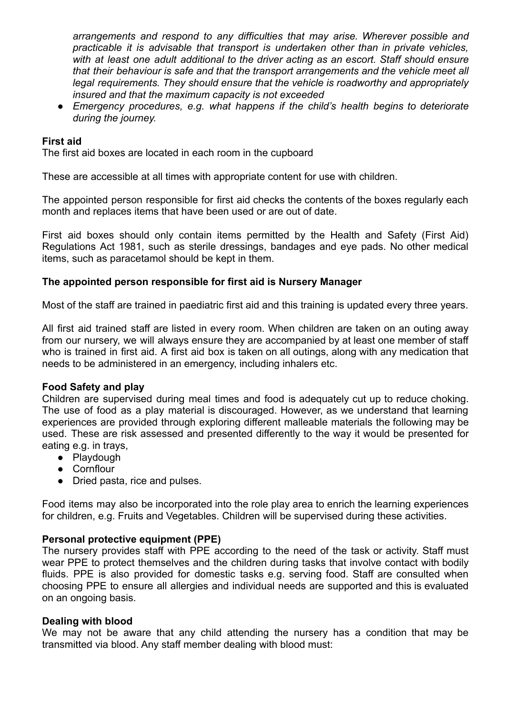*arrangements and respond to any difficulties that may arise. Wherever possible and practicable it is advisable that transport is undertaken other than in private vehicles, with at least one adult additional to the driver acting as an escort. Staff should ensure that their behaviour is safe and that the transport arrangements and the vehicle meet all legal requirements. They should ensure that the vehicle is roadworthy and appropriately insured and that the maximum capacity is not exceeded*

*● Emergency procedures, e.g. what happens if the child's health begins to deteriorate during the journey.*

## **First aid**

The first aid boxes are located in each room in the cupboard

These are accessible at all times with appropriate content for use with children.

The appointed person responsible for first aid checks the contents of the boxes regularly each month and replaces items that have been used or are out of date.

First aid boxes should only contain items permitted by the Health and Safety (First Aid) Regulations Act 1981, such as sterile dressings, bandages and eye pads. No other medical items, such as paracetamol should be kept in them.

## **The appointed person responsible for first aid is Nursery Manager**

Most of the staff are trained in paediatric first aid and this training is updated every three years.

All first aid trained staff are listed in every room. When children are taken on an outing away from our nursery, we will always ensure they are accompanied by at least one member of staff who is trained in first aid. A first aid box is taken on all outings, along with any medication that needs to be administered in an emergency, including inhalers etc.

#### **Food Safety and play**

Children are supervised during meal times and food is adequately cut up to reduce choking. The use of food as a play material is discouraged. However, as we understand that learning experiences are provided through exploring different malleable materials the following may be used. These are risk assessed and presented differently to the way it would be presented for eating e.g. in trays,

- Playdough
- Cornflour
- Dried pasta, rice and pulses.

Food items may also be incorporated into the role play area to enrich the learning experiences for children, e.g. Fruits and Vegetables. Children will be supervised during these activities.

#### **Personal protective equipment (PPE)**

The nursery provides staff with PPE according to the need of the task or activity. Staff must wear PPE to protect themselves and the children during tasks that involve contact with bodily fluids. PPE is also provided for domestic tasks e.g. serving food. Staff are consulted when choosing PPE to ensure all allergies and individual needs are supported and this is evaluated on an ongoing basis.

#### **Dealing with blood**

We may not be aware that any child attending the nursery has a condition that may be transmitted via blood. Any staff member dealing with blood must: